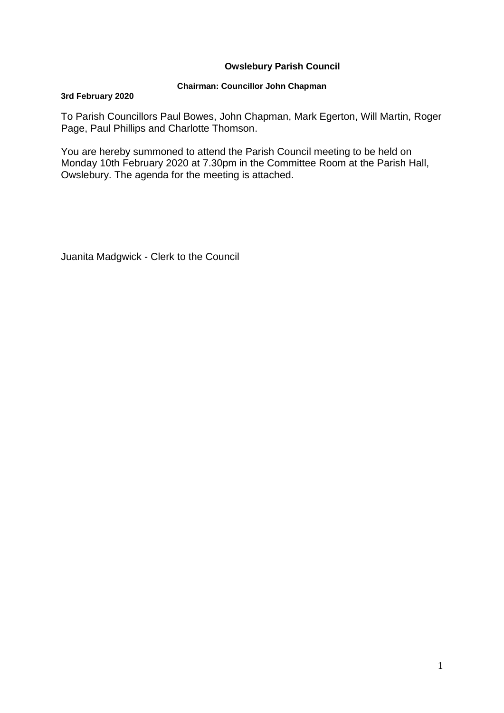# **Owslebury Parish Council**

### **Chairman: Councillor John Chapman**

#### **3rd February 2020**

To Parish Councillors Paul Bowes, John Chapman, Mark Egerton, Will Martin, Roger Page, Paul Phillips and Charlotte Thomson.

You are hereby summoned to attend the Parish Council meeting to be held on Monday 10th February 2020 at 7.30pm in the Committee Room at the Parish Hall, Owslebury. The agenda for the meeting is attached.

Juanita Madgwick - Clerk to the Council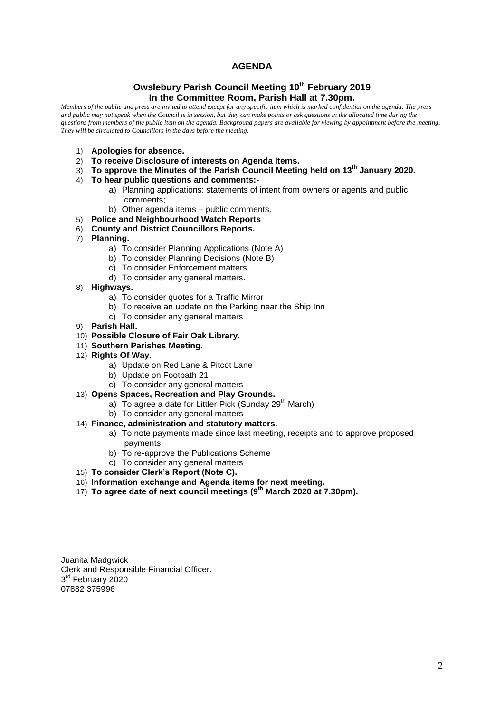### **AGENDA**

#### **Owslebury Parish Council Meeting 10th February 2019 In the Committee Room, Parish Hall at 7.30pm.**

*Members of the public and press are invited to attend except for any specific item which is marked confidential on the agenda. The press and public may not speak when the Council is in session, but they can make points or ask questions in the allocated time during the questions from members of the public item on the agenda. Background papers are available for viewing by appointment before the meeting. They will be circulated to Councillors in the days before the meeting.* 

- 1) **Apologies for absence.**
- 2) **To receive Disclosure of interests on Agenda Items.**
- 3) **To approve the Minutes of the Parish Council Meeting held on 13th January 2020.**
- 4) **To hear public questions and comments:**
	- a) Planning applications: statements of intent from owners or agents and public comments;
	- b) Other agenda items public comments.
- 5) **Police and Neighbourhood Watch Reports**
- 6) **County and District Councillors Reports.**
- 7) **Planning.** 
	- a) To consider Planning Applications (Note A)
	- b) To consider Planning Decisions (Note B)
	- c) To consider Enforcement matters
	- d) To consider any general matters.
- 8) **Highways.**
	- a) To consider quotes for a Traffic Mirror
	- b) To receive an update on the Parking near the Ship Inn
	- c) To consider any general matters
- 9) **Parish Hall.**
- 10) **Possible Closure of Fair Oak Library.**
- 11) **Southern Parishes Meeting.**
- 12) **Rights Of Way.**
	- a) Update on Red Lane & Pitcot Lane
	- b) Update on Footpath 21
	- c) To consider any general matters
- 13) **Opens Spaces, Recreation and Play Grounds.**
	- a) To agree a date for Littler Pick (Sunday 29<sup>th</sup> March)
	- b) To consider any general matters

#### 14) **Finance, administration and statutory matters**.

- a) To note payments made since last meeting, receipts and to approve proposed payments.
- b) To re-approve the Publications Scheme
- c) To consider any general matters
- 15) **To consider Clerk's Report (Note C).**
- 16) **Information exchange and Agenda items for next meeting.**
- 17) **To agree date of next council meetings (9 th March 2020 at 7.30pm).**

Juanita Madgwick Clerk and Responsible Financial Officer. 3<sup>rd</sup> February 2020 07882 375996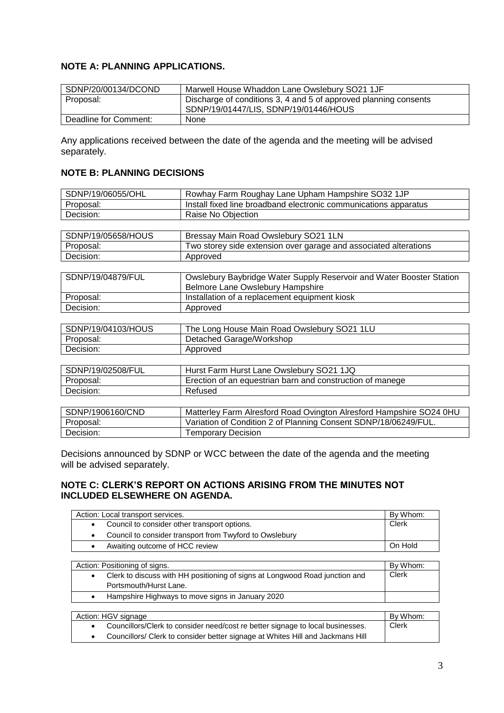# **NOTE A: PLANNING APPLICATIONS.**

| SDNP/20/00134/DCOND   | Marwell House Whaddon Lane Owslebury SO21 1JF                                                             |
|-----------------------|-----------------------------------------------------------------------------------------------------------|
| Proposal:             | Discharge of conditions 3, 4 and 5 of approved planning consents<br>SDNP/19/01447/LIS, SDNP/19/01446/HOUS |
| Deadline for Comment: | None                                                                                                      |

Any applications received between the date of the agenda and the meeting will be advised separately.

# **NOTE B: PLANNING DECISIONS**

| SDNP/19/06055/OHL  | Rowhay Farm Roughay Lane Upham Hampshire SO32 1JP                    |
|--------------------|----------------------------------------------------------------------|
| Proposal:          | Install fixed line broadband electronic communications apparatus     |
| Decision:          | Raise No Objection                                                   |
|                    |                                                                      |
| SDNP/19/05658/HOUS | Bressay Main Road Owslebury SO21 1LN                                 |
| Proposal:          | Two storey side extension over garage and associated alterations     |
| Decision:          | Approved                                                             |
|                    |                                                                      |
| SDNP/19/04879/FUL  | Owslebury Baybridge Water Supply Reservoir and Water Booster Station |
|                    | Belmore Lane Owslebury Hampshire                                     |
| Proposal:          | Installation of a replacement equipment kiosk                        |
| Decision:          | Approved                                                             |
|                    |                                                                      |
| SDNP/19/04103/HOUS | The Long House Main Road Owslebury SO21 1LU                          |
| Proposal:          | Detached Garage/Workshop                                             |
| Decision:          | Approved                                                             |
|                    |                                                                      |
| SDNP/19/02508/FUL  | Hurst Farm Hurst Lane Owslebury SO21 1JQ                             |
| Proposal:          | Erection of an equestrian barn and construction of manege            |
| Decision:          | Refused                                                              |
|                    |                                                                      |

| SDNP/1906160/CND | Matterley Farm Alresford Road Ovington Alresford Hampshire SO24 0HU |
|------------------|---------------------------------------------------------------------|
| Proposal:        | Variation of Condition 2 of Planning Consent SDNP/18/06249/FUL.     |
| Decision:        | <b>Temporary Decision</b>                                           |

Decisions announced by SDNP or WCC between the date of the agenda and the meeting will be advised separately.

## **NOTE C: CLERK'S REPORT ON ACTIONS ARISING FROM THE MINUTES NOT INCLUDED ELSEWHERE ON AGENDA.**

| Action: Local transport services. |                                                         | By Whom: |
|-----------------------------------|---------------------------------------------------------|----------|
|                                   | Council to consider other transport options.            | Clerk    |
|                                   | Council to consider transport from Twyford to Owslebury |          |
|                                   | Awaiting outcome of HCC review                          | On Hold  |
|                                   |                                                         |          |

| Action: Positioning of signs.                                               | By Whom: |
|-----------------------------------------------------------------------------|----------|
| Clerk to discuss with HH positioning of signs at Longwood Road junction and | Clerk    |
| Portsmouth/Hurst Lane.                                                      |          |
| Hampshire Highways to move signs in January 2020                            |          |
|                                                                             |          |

| Action: HGV signage                                                            | By Whom: |
|--------------------------------------------------------------------------------|----------|
| Councillors/Clerk to consider need/cost re better signage to local businesses. | Clerk    |
| Councillors/ Clerk to consider better signage at Whites Hill and Jackmans Hill |          |